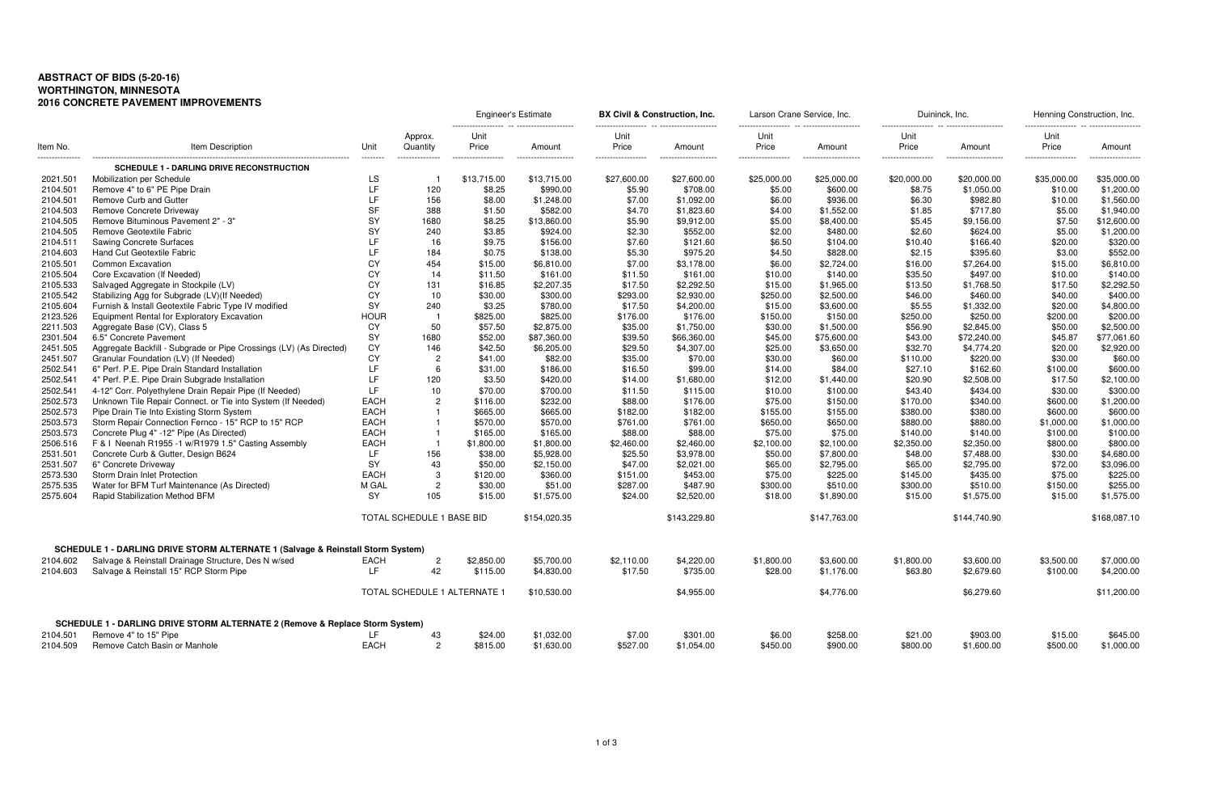## **ABSTRACT OF BIDS (5-20-16) WORTHINGTON, MINNESOTA 2016 CONCRETE PAVEMENT IMPROVEMENTS**

|          |                                                                                                  |             |                              | Engineer's Estimate |                       | BX Civil & Construction, Inc. |                      | Larson Crane Service, Inc. |                       | Duininck, Inc.     |                      | Henning Construction, Inc. |                    |
|----------|--------------------------------------------------------------------------------------------------|-------------|------------------------------|---------------------|-----------------------|-------------------------------|----------------------|----------------------------|-----------------------|--------------------|----------------------|----------------------------|--------------------|
| Item No. | Item Description                                                                                 | Unit        | Approx.<br>Quantity          | Unit<br>Price       | Amount                | Unit<br>Price                 | Amount               | Unit<br>Price              | Amount                | Unit<br>Price      | Amount               | Unit<br>Price              | Amount             |
| .        | <b>SCHEDULE 1 - DARLING DRIVE RECONSTRUCTION</b>                                                 | ---------   | ---------------              | ------------------  | --------------------- | ------------------            | -------------------- | ------------------         | --------------------- | ------------------ | -------------------- | ------------------         | ------------------ |
| 2021.501 | Mobilization per Schedule                                                                        | LS          |                              | \$13,715.00         | \$13,715.00           | \$27,600.00                   | \$27,600.00          | \$25,000.00                | \$25,000.00           | \$20,000.00        | \$20,000.00          | \$35,000.00                | \$35,000.00        |
| 2104.501 | Remove 4" to 6" PE Pipe Drain                                                                    | LF          | 120                          | \$8.25              | \$990.00              | \$5.90                        | \$708.00             | \$5.00                     | \$600.00              | \$8.75             | \$1,050.00           | \$10.00                    | \$1,200.00         |
| 2104.501 | Remove Curb and Gutter                                                                           | LF          | 156                          | \$8.00              | \$1,248.00            | \$7.00                        | \$1,092.00           | \$6.00                     | \$936.00              | \$6.30             | \$982.80             | \$10.00                    | \$1,560.00         |
| 2104.503 | Remove Concrete Driveway                                                                         | <b>SF</b>   | 388                          | \$1.50              | \$582.00              | \$4.70                        | \$1,823.60           | \$4.00                     | \$1,552.00            | \$1.85             | \$717.80             | \$5.00                     | \$1,940.00         |
| 2104.505 | Remove Bituminous Pavement 2" - 3"                                                               | <b>SY</b>   | 1680                         | \$8.25              | \$13,860.00           | \$5.90                        | \$9,912.00           | \$5.00                     | \$8,400.00            | \$5.45             | \$9,156.00           | \$7.50                     | \$12,600.00        |
| 2104.505 | Remove Geotextile Fabric                                                                         | <b>SY</b>   | 240                          | \$3.85              | \$924.00              | \$2.30                        | \$552.00             | \$2.00                     | \$480.00              | \$2.60             | \$624.00             | \$5.00                     | \$1,200.00         |
| 2104.511 | <b>Sawing Concrete Surfaces</b>                                                                  | LF          | 16                           | \$9.75              | \$156.00              | \$7.60                        | \$121.60             | \$6.50                     | \$104.00              | \$10.40            | \$166.40             | \$20.00                    | \$320.00           |
| 2104.603 | Hand Cut Geotextile Fabric                                                                       | LF          | 184                          | \$0.75              | \$138.00              | \$5.30                        | \$975.20             | \$4.50                     | \$828.00              | \$2.15             | \$395.60             | \$3.00                     | \$552.00           |
| 2105.501 | <b>Common Excavation</b>                                                                         | CY          | 454                          | \$15.00             | \$6,810.00            | \$7.00                        | \$3,178.00           | \$6.00                     | \$2,724.00            | \$16.00            | \$7,264.00           | \$15.00                    | \$6,810.00         |
| 2105.504 | Core Excavation (If Needed)                                                                      | CY          | 14                           | \$11.50             | \$161.00              | \$11.50                       | \$161.00             | \$10.00                    | \$140.00              | \$35.50            | \$497.00             | \$10.00                    | \$140.00           |
| 2105.533 | Salvaged Aggregate in Stockpile (LV)                                                             | CY          | 131                          | \$16.85             | \$2,207.35            | \$17.50                       | \$2,292.50           | \$15.00                    | \$1,965.00            | \$13.50            | \$1,768.50           | \$17.50                    | \$2,292.50         |
| 2105.542 | Stabilizing Agg for Subgrade (LV)(If Needed)                                                     | CY          | 10                           | \$30.00             | \$300.00              | \$293.00                      | \$2,930.00           | \$250.00                   | \$2,500.00            | \$46.00            | \$460.00             | \$40.00                    | \$400.00           |
| 2105.604 | Furnish & Install Geotextile Fabric Type IV modified                                             | <b>SY</b>   | 240                          | \$3.25              | \$780.00              | \$17.50                       | \$4,200.00           | \$15.00                    | \$3,600.00            | \$5.55             | \$1,332.00           | \$20.00                    | \$4,800.00         |
| 2123.526 | Equipment Rental for Exploratory Excavation                                                      | <b>HOUR</b> | - 1                          | \$825.00            | \$825.00              | \$176.00                      | \$176.00             | \$150.00                   | \$150.00              | \$250.00           | \$250.00             | \$200.00                   | \$200.00           |
| 2211.503 | Aggregate Base (CV), Class 5                                                                     | СY          | 50                           | \$57.50             | \$2,875.00            | \$35.00                       | \$1,750.00           | \$30.00                    | \$1,500.00            | \$56.90            | \$2,845.00           | \$50.00                    | \$2,500.00         |
| 2301.504 | 6.5" Concrete Pavement                                                                           | <b>SY</b>   | 1680                         | \$52.00             | \$87,360.00           | \$39.50                       | \$66,360.00          | \$45.00                    | \$75,600.00           | \$43.00            | \$72,240.00          | \$45.87                    | \$77,061.60        |
| 2451.505 | Aggregate Backfill - Subgrade or Pipe Crossings (LV) (As Directed)                               | CY          | 146                          | \$42.50             | \$6,205.00            | \$29.50                       | \$4,307.00           | \$25.00                    | \$3,650.00            | \$32.70            | \$4,774.20           | \$20.00                    | \$2,920.00         |
| 2451.507 | Granular Foundation (LV) (If Needed)                                                             | CY          | $\overline{c}$               | \$41.00             | \$82.00               | \$35.00                       | \$70.00              | \$30.00                    | \$60.00               | \$110.00           | \$220.00             | \$30.00                    | \$60.00            |
| 2502.541 | 6" Perf. P.E. Pipe Drain Standard Installation                                                   | LF          | 6                            | \$31.00             | \$186.00              | \$16.50                       | \$99.00              | \$14.00                    | \$84.00               | \$27.10            | \$162.60             | \$100.00                   | \$600.00           |
| 2502.541 | 4" Perf. P.E. Pipe Drain Subgrade Installation                                                   | LF          | 120                          | \$3.50              | \$420.00              | \$14.00                       | \$1,680.00           | \$12.00                    | \$1,440.00            | \$20.90            | \$2,508.00           | \$17.50                    | \$2,100.00         |
| 2502.541 | 4-12" Corr. Polyethylene Drain Repair Pipe (If Needed)                                           | LF          | 10                           | \$70.00             | \$700.00              | \$11.50                       |                      |                            |                       | \$43.40            | \$434.00             | \$30.00                    | \$300.00           |
| 2502.573 | Unknown Tile Repair Connect. or Tie into System (If Needed)                                      | EACH        | $\overline{2}$               | \$116.00            | \$232.00              | \$88.00                       | \$115.00<br>\$176.00 | \$10.00<br>\$75.00         | \$100.00<br>\$150.00  | \$170.00           | \$340.00             | \$600.00                   | \$1,200.00         |
| 2502.573 |                                                                                                  | EACH        |                              | \$665.00            | \$665.00              |                               |                      | \$155.00                   | \$155.00              | \$380.00           | \$380.00             | \$600.00                   | \$600.00           |
| 2503.573 | Pipe Drain Tie Into Existing Storm System<br>Storm Repair Connection Fernco - 15" RCP to 15" RCP | EACH        |                              |                     | \$570.00              | \$182.00<br>\$761.00          | \$182.00             | \$650.00                   | \$650.00              | \$880.00           | \$880.00             |                            | \$1,000.00         |
|          |                                                                                                  | EACH        |                              | \$570.00            |                       |                               | \$761.00             |                            |                       |                    |                      | \$1,000.00                 |                    |
| 2503.573 | Concrete Plug 4" -12" Pipe (As Directed)<br>F & I Neenah R1955 -1 w/R1979 1.5" Casting Assembly  |             |                              | \$165.00            | \$165.00              | \$88.00                       | \$88.00              | \$75.00                    | \$75.00               | \$140.00           | \$140.00             | \$100.00                   | \$100.00           |
| 2506.516 |                                                                                                  | EACH<br>LF  |                              | \$1,800.00          | \$1,800.00            | \$2,460.00                    | \$2,460.00           | \$2,100.00                 | \$2,100.00            | \$2,350.00         | \$2,350.00           | \$800.00                   | \$800.00           |
| 2531.501 | Concrete Curb & Gutter, Design B624                                                              |             | 156                          | \$38.00             | \$5,928.00            | \$25.50                       | \$3,978.00           | \$50.00                    | \$7,800.00            | \$48.00            | \$7,488.00           | \$30.00                    | \$4,680.00         |
| 2531.507 | 6" Concrete Driveway                                                                             | <b>SY</b>   | 43                           | \$50.00             | \$2,150.00            | \$47.00                       | \$2,021.00           | \$65.00                    | \$2,795.00            | \$65.00            | \$2,795.00           | \$72.00                    | \$3,096.00         |
| 2573.530 | Storm Drain Inlet Protection                                                                     | EACH        | 3<br>$\overline{c}$          | \$120.00            | \$360.00              | \$151.00                      | \$453.00             | \$75.00                    | \$225.00              | \$145.00           | \$435.00             | \$75.00                    | \$225.00           |
| 2575.535 | Water for BFM Turf Maintenance (As Directed)                                                     | M GAL       | 105                          | \$30.00             | \$51.00               | \$287.00                      | \$487.90             | \$300.00                   | \$510.00              | \$300.00           | \$510.00             | \$150.00                   | \$255.00           |
| 2575.604 | Rapid Stabilization Method BFM                                                                   | <b>SY</b>   |                              | \$15.00             | \$1,575.00            | \$24.00                       | \$2,520.00           | \$18.00                    | \$1,890.00            | \$15.00            | \$1,575.00           | \$15.00                    | \$1,575.00         |
|          |                                                                                                  |             | TOTAL SCHEDULE 1 BASE BID    |                     | \$154,020.35          |                               | \$143,229.80         |                            | \$147,763.00          |                    | \$144,740.90         |                            | \$168,087.10       |
|          | SCHEDULE 1 - DARLING DRIVE STORM ALTERNATE 1 (Salvage & Reinstall Storm System)                  |             |                              |                     |                       |                               |                      |                            |                       |                    |                      |                            |                    |
| 2104.602 | Salvage & Reinstall Drainage Structure, Des N w/sed                                              | EACH        | $\overline{c}$               | \$2,850.00          | \$5,700.00            | \$2,110.00                    | \$4,220.00           | \$1,800.00                 | \$3,600.00            | \$1,800.00         | \$3,600.00           | \$3,500.00                 | \$7,000.00         |
| 2104.603 | Salvage & Reinstall 15" RCP Storm Pipe                                                           | LF.         | 42                           | \$115.00            | \$4,830.00            | \$17.50                       | \$735.00             | \$28.00                    | \$1,176.00            | \$63.80            | \$2,679.60           | \$100.00                   | \$4,200.00         |
|          |                                                                                                  |             |                              |                     |                       |                               |                      |                            |                       |                    |                      |                            |                    |
|          |                                                                                                  |             | TOTAL SCHEDULE 1 ALTERNATE 1 |                     | \$10,530.00           |                               | \$4,955.00           |                            | \$4,776.00            |                    | \$6,279.60           |                            | \$11,200.00        |
|          | SCHEDULE 1 - DARLING DRIVE STORM ALTERNATE 2 (Remove & Replace Storm System)                     |             |                              |                     |                       |                               |                      |                            |                       |                    |                      |                            |                    |
| 2104.501 | Remove 4" to 15" Pipe                                                                            | LF.         | 43                           | \$24.00             | \$1,032.00            | \$7.00                        | \$301.00             | \$6.00                     | \$258.00              | \$21.00            | \$903.00             | \$15.00                    | \$645.00           |
| 2104.509 | Remove Catch Basin or Manhole                                                                    | EACH        | $\overline{c}$               | \$815.00            | \$1,630.00            | \$527.00                      | \$1,054.00           | \$450.00                   | \$900.00              | \$800.00           | \$1,600.00           | \$500.00                   | \$1,000.00         |

Engineerthic **By Construction**, Inc. **Engineerise Construction**, Inc.

| Unit       |              | Unit        |              |
|------------|--------------|-------------|--------------|
| Price      | Amount       | Price       | Amount       |
| 20,000.00  | \$20,000.00  | \$35,000.00 | \$35,000.00  |
| \$8.75     | \$1,050.00   | \$10.00     | \$1,200.00   |
| \$6.30     | \$982.80     | \$10.00     | \$1,560.00   |
| \$1.85     | \$717.80     | \$5.00      | \$1,940.00   |
| \$5.45     | \$9,156.00   | \$7.50      | \$12,600.00  |
| \$2.60     | \$624.00     | \$5.00      | \$1,200.00   |
| \$10.40    | \$166.40     | \$20.00     | \$320.00     |
| \$2.15     | \$395.60     | \$3.00      | \$552.00     |
| \$16.00    | \$7,264.00   | \$15.00     | \$6,810.00   |
| \$35.50    | \$497.00     | \$10.00     | \$140.00     |
| \$13.50    | \$1,768.50   | \$17.50     | \$2,292.50   |
| \$46.00    | \$460.00     | \$40.00     | \$400.00     |
| \$5.55     | \$1,332.00   | \$20.00     | \$4,800.00   |
| \$250.00   | \$250.00     | \$200.00    | \$200.00     |
| \$56.90    | \$2,845.00   | \$50.00     | \$2,500.00   |
| \$43.00    | \$72,240.00  | \$45.87     | \$77,061.60  |
| \$32.70    | \$4,774.20   | \$20.00     | \$2,920.00   |
| \$110.00   | \$220.00     | \$30.00     | \$60.00      |
| \$27.10    | \$162.60     | \$100.00    | \$600.00     |
| \$20.90    | \$2,508.00   | \$17.50     | \$2,100.00   |
| \$43.40    | \$434.00     | \$30.00     | \$300.00     |
| \$170.00   | \$340.00     | \$600.00    | \$1,200.00   |
| \$380.00   | \$380.00     | \$600.00    | \$600.00     |
| \$880.00   | \$880.00     | \$1,000.00  | \$1,000.00   |
| \$140.00   | \$140.00     | \$100.00    | \$100.00     |
| \$2,350.00 | \$2,350.00   | \$800.00    | \$800.00     |
| \$48.00    | \$7,488.00   | \$30.00     | \$4,680.00   |
| \$65.00    | \$2,795.00   | \$72.00     | \$3,096.00   |
| \$145.00   | \$435.00     | \$75.00     | \$225.00     |
| \$300.00   | \$510.00     | \$150.00    | \$255.00     |
| \$15.00    | \$1,575.00   | \$15.00     | \$1,575.00   |
|            | \$144,740.90 |             | \$168,087.10 |
| \$1,800.00 | \$3,600.00   | \$3,500.00  | \$7,000.00   |
| \$63.80    | \$2,679.60   | \$100.00    | \$4,200.00   |
|            | \$6,279.60   |             | \$11,200.00  |
| \$21.00    | \$903.00     | \$15.00     | \$645.00     |
| \$800.00   | $$1$ 600 00  | \$500.00    | \$1,000,00   |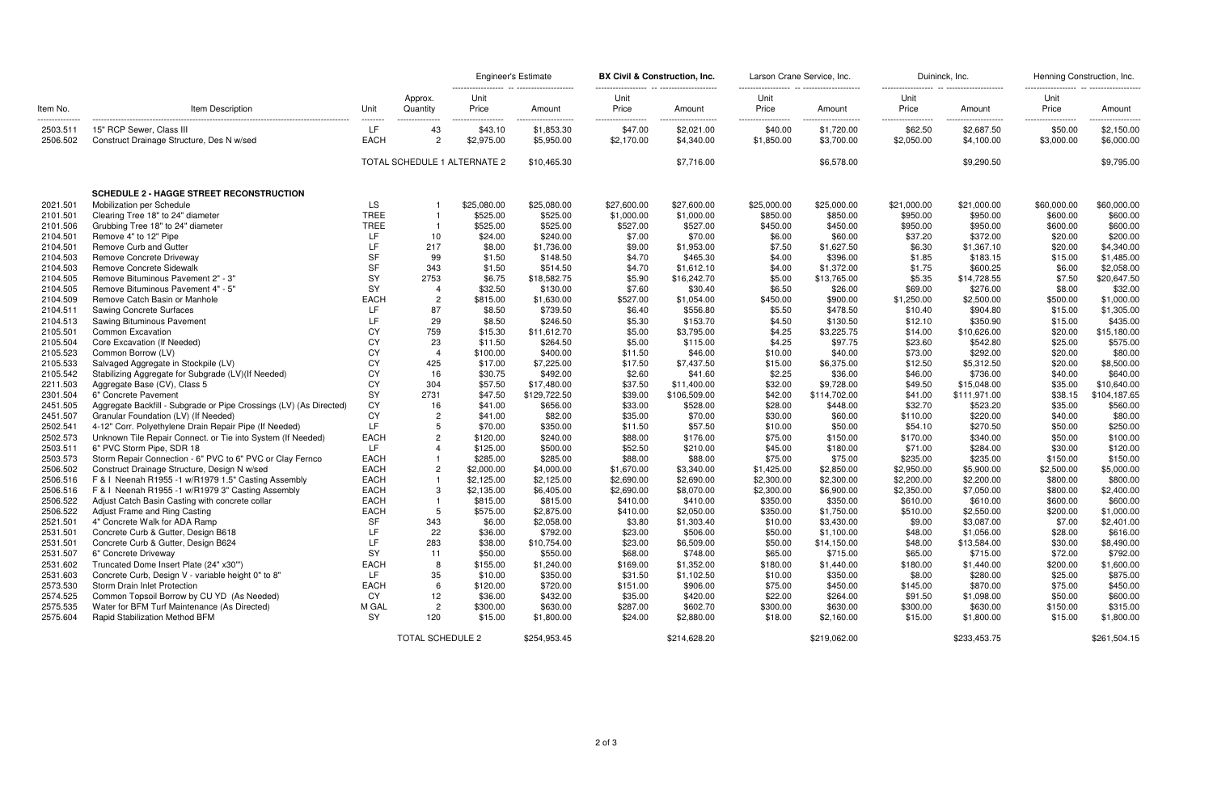|          | Item Description                                                   | Unit            |                              | <b>Engineer's Estimate</b> |              | <b>BX Civil &amp; Construction, Inc.</b> |              | Larson Crane Service, Inc. |              | Duininck, Inc. |              | Henning Construction, Inc. |              |
|----------|--------------------------------------------------------------------|-----------------|------------------------------|----------------------------|--------------|------------------------------------------|--------------|----------------------------|--------------|----------------|--------------|----------------------------|--------------|
| Item No. |                                                                    |                 | Approx.<br>Quantity          | Unit<br>Price              | Amount       | Unit<br>Price                            | Amount       | Unit<br>Price              | Amount       | Unit<br>Price  | Amount       | Unit<br>Price              | Amount       |
| 2503.511 | 15" RCP Sewer, Class III                                           | --------<br>LF. | 43                           | .<br>\$43.10               | \$1,853.30   | \$47.00                                  | \$2,021.00   | \$40.00                    | \$1,720.00   | <br>\$62.50    | \$2,687.50   | .<br>\$50.00               | \$2,150.00   |
| 2506.502 | Construct Drainage Structure, Des N w/sed                          | EACH            | $\overline{c}$               | \$2,975.00                 | \$5,950.00   | \$2,170.00                               | \$4,340.00   | \$1,850.00                 | \$3,700.00   | \$2,050.00     | \$4,100.00   | \$3,000.00                 | \$6,000.00   |
|          |                                                                    |                 | TOTAL SCHEDULE 1 ALTERNATE 2 |                            | \$10,465.30  |                                          | \$7,716.00   |                            | \$6,578.00   |                | \$9,290.50   |                            | \$9,795.00   |
|          | <b>SCHEDULE 2 - HAGGE STREET RECONSTRUCTION</b>                    |                 |                              |                            |              |                                          |              |                            |              |                |              |                            |              |
| 2021.501 | Mobilization per Schedule                                          | LS.             |                              | \$25,080.00                | \$25,080.00  | \$27,600.00                              | \$27,600.00  | \$25,000.00                | \$25,000.00  | \$21,000.00    | \$21,000.00  | \$60,000.00                | \$60,000.00  |
| 2101.501 | Clearing Tree 18" to 24" diameter                                  | <b>TREE</b>     |                              | \$525.00                   | \$525.00     | \$1,000.00                               | \$1,000.00   | \$850.00                   | \$850.00     | \$950.00       | \$950.00     | \$600.00                   | \$600.00     |
| 2101.506 | Grubbing Tree 18" to 24" diameter                                  | <b>TREE</b>     |                              | \$525.00                   | \$525.00     | \$527.00                                 | \$527.00     | \$450.00                   | \$450.00     | \$950.00       | \$950.00     | \$600.00                   | \$600.00     |
| 2104.501 | Remove 4" to 12" Pipe                                              | LF.             | 10                           | \$24.00                    | \$240.00     | \$7.00                                   | \$70.00      | \$6.00                     | \$60.00      | \$37.20        | \$372.00     | \$20.00                    | \$200.00     |
| 2104.501 | Remove Curb and Gutter                                             | LF.             | 217                          | \$8.00                     | \$1,736.00   | \$9.00                                   | \$1,953.00   | \$7.50                     | \$1,627.50   | \$6.30         | \$1,367.10   | \$20.00                    | \$4,340.00   |
| 2104.503 | Remove Concrete Driveway                                           | <b>SF</b>       | 99                           | \$1.50                     | \$148.50     | \$4.70                                   | \$465.30     | \$4.00                     | \$396.00     | \$1.85         | \$183.15     | \$15.00                    | \$1,485.00   |
| 2104.503 | Remove Concrete Sidewalk                                           | <b>SF</b>       | 343                          | \$1.50                     | \$514.50     | \$4.70                                   | \$1,612.10   | \$4.00                     | \$1,372.00   | \$1.75         | \$600.25     | \$6.00                     | \$2,058.00   |
| 2104.505 | Remove Bituminous Pavement 2" - 3"                                 | SY              | 2753                         | \$6.75                     | \$18,582.75  | \$5.90                                   | \$16,242.70  | \$5.00                     | \$13,765.00  | \$5.35         | \$14,728.55  | \$7.50                     | \$20,647.50  |
| 2104.505 | Remove Bituminous Pavement 4" - 5"                                 | <b>SY</b>       | -4                           | \$32.50                    | \$130.00     | \$7.60                                   | \$30.40      | \$6.50                     | \$26.00      | \$69.00        | \$276.00     | \$8.00                     | \$32.00      |
| 2104.509 | Remove Catch Basin or Manhole                                      | <b>EACH</b>     | $\overline{c}$               | \$815.00                   | \$1,630.00   | \$527.00                                 | \$1,054.00   | \$450.00                   | \$900.00     | \$1,250.00     | \$2,500.00   | \$500.00                   | \$1,000.00   |
| 2104.511 | <b>Sawing Concrete Surfaces</b>                                    | LF.             | 87                           | \$8.50                     | \$739.50     | \$6.40                                   | \$556.80     | \$5.50                     | \$478.50     | \$10.40        | \$904.80     | \$15.00                    | \$1,305.00   |
| 2104.513 | Sawing Bituminous Pavement                                         | LF              | 29                           | \$8.50                     | \$246.50     | \$5.30                                   | \$153.70     | \$4.50                     | \$130.50     | \$12.10        | \$350.90     | \$15.00                    | \$435.00     |
| 2105.501 | Common Excavation                                                  | CY              | 759                          | \$15.30                    | \$11,612.70  | \$5.00                                   | \$3,795.00   | \$4.25                     | \$3,225.75   | \$14.00        | \$10,626.00  | \$20.00                    | \$15,180.00  |
| 2105.504 | Core Excavation (If Needed)                                        | CY              | 23                           | \$11.50                    | \$264.50     | \$5.00                                   | \$115.00     | \$4.25                     | \$97.75      | \$23.60        | \$542.80     | \$25.00                    | \$575.00     |
| 2105.523 | Common Borrow (LV)                                                 | CY              | $\overline{4}$               | \$100.00                   | \$400.00     | \$11.50                                  | \$46.00      | \$10.00                    | \$40.00      | \$73.00        | \$292.00     | \$20.00                    | \$80.00      |
| 2105.533 | Salvaged Aggregate in Stockpile (LV)                               | CY              | 425                          | \$17.00                    | \$7,225.00   | \$17.50                                  | \$7,437.50   | \$15.00                    | \$6,375.00   | \$12.50        | \$5,312.50   | \$20.00                    | \$8,500.00   |
| 2105.542 | Stabilizing Aggregate for Subgrade (LV)(If Needed)                 | CY              | 16                           | \$30.75                    | \$492.00     | \$2.60                                   | \$41.60      | \$2.25                     | \$36.00      | \$46.00        | \$736.00     | \$40.00                    | \$640.00     |
| 2211.503 | Aggregate Base (CV), Class 5                                       | CY              | 304                          | \$57.50                    | \$17,480.00  | \$37.50                                  | \$11,400.00  | \$32.00                    | \$9,728.00   | \$49.50        | \$15,048.00  | \$35.00                    | \$10,640.00  |
| 2301.504 | 6" Concrete Pavement                                               | <b>SY</b>       | 2731                         | \$47.50                    | \$129,722.50 | \$39.00                                  | \$106,509.00 | \$42.00                    | \$114,702.00 | \$41.00        | \$111,971.00 | \$38.15                    | \$104,187.65 |
| 2451.505 | Aggregate Backfill - Subgrade or Pipe Crossings (LV) (As Directed) | CY              | 16                           | \$41.00                    | \$656.00     | \$33.00                                  | \$528.00     | \$28.00                    | \$448.00     | \$32.70        | \$523.20     | \$35.00                    | \$560.00     |
| 2451.507 | Granular Foundation (LV) (If Needed)                               | CY              | $\overline{c}$               | \$41.00                    | \$82.00      | \$35.00                                  | \$70.00      | \$30.00                    | \$60.00      | \$110.00       | \$220.00     | \$40.00                    | \$80.00      |
| 2502.541 | 4-12" Corr. Polyethylene Drain Repair Pipe (If Needed)             | 1 F             | 5                            | \$70.00                    | \$350.00     | \$11.50                                  | \$57.50      | \$10.00                    | \$50.00      | \$54.10        | \$270.50     | \$50.00                    | \$250.00     |
| 2502.573 | Unknown Tile Repair Connect. or Tie into System (If Needed)        | EACH            | $\overline{c}$               | \$120.00                   | \$240.00     | \$88.00                                  | \$176.00     | \$75.00                    | \$150.00     | \$170.00       | \$340.00     | \$50.00                    | \$100.00     |
| 2503.511 | 6" PVC Storm Pipe, SDR 18                                          | LF.             |                              | \$125.00                   | \$500.00     | \$52.50                                  | \$210.00     | \$45.00                    | \$180.00     | \$71.00        | \$284.00     | \$30.00                    | \$120.00     |
| 2503.573 | Storm Repair Connection - 6" PVC to 6" PVC or Clay Fernco          | <b>EACH</b>     |                              | \$285.00                   | \$285.00     | \$88.00                                  | \$88.00      | \$75.00                    | \$75.00      | \$235.00       | \$235.00     | \$150.00                   | \$150.00     |
| 2506.502 | Construct Drainage Structure, Design N w/sed                       | <b>EACH</b>     | $\overline{c}$               | \$2,000.00                 | \$4,000.00   | \$1,670.00                               | \$3,340.00   | \$1,425.00                 | \$2,850.00   | \$2,950.00     | \$5,900.00   | \$2,500.00                 | \$5,000.00   |
| 2506.516 | F & I Neenah R1955 -1 w/R1979 1.5" Casting Assembly                | <b>EACH</b>     |                              | \$2,125.00                 | \$2,125.00   | \$2,690.00                               | \$2,690.00   | \$2,300.00                 | \$2,300.00   | \$2,200.00     | \$2,200.00   | \$800.00                   | \$800.00     |
| 2506.516 | F & I Neenah R1955 -1 w/R1979 3" Casting Assembly                  | <b>EACH</b>     | -3                           | \$2,135.00                 | \$6,405.00   | \$2,690.00                               | \$8,070.00   | \$2,300.00                 | \$6,900.00   | \$2,350.00     | \$7,050.00   | \$800.00                   | \$2,400.00   |
| 2506.522 | Adjust Catch Basin Casting with concrete collar                    | <b>EACH</b>     |                              | \$815.00                   | \$815.00     | \$410.00                                 | \$410.00     | \$350.00                   | \$350.00     | \$610.00       | \$610.00     | \$600.00                   | \$600.00     |
| 2506.522 | Adjust Frame and Ring Casting                                      | <b>EACH</b>     | .5                           | \$575.00                   | \$2,875.00   | \$410.00                                 | \$2,050.00   | \$350.00                   | \$1,750.00   | \$510.00       | \$2,550.00   | \$200.00                   | \$1,000.00   |
| 2521.501 | 4" Concrete Walk for ADA Ramp                                      | <b>SF</b>       | 343                          | \$6.00                     | \$2,058.00   | \$3.80                                   | \$1,303.40   | \$10.00                    | \$3,430.00   | \$9.00         | \$3,087.00   | \$7.00                     | \$2,401.00   |
| 2531.501 | Concrete Curb & Gutter, Design B618                                | LF              | 22                           | \$36.00                    | \$792.00     | \$23.00                                  | \$506.00     | \$50.00                    | \$1,100.00   | \$48.00        | \$1,056.00   | \$28.00                    | \$616.00     |
| 2531.501 | Concrete Curb & Gutter, Design B624                                | LF              | 283                          | \$38.00                    | \$10,754.00  | \$23.00                                  | \$6,509.00   | \$50.00                    | \$14,150.00  | \$48.00        | \$13,584.00  | \$30.00                    | \$8,490.00   |
| 2531.507 | 6" Concrete Driveway                                               | <b>SY</b>       | 11                           | \$50.00                    | \$550.00     | \$68.00                                  | \$748.00     | \$65.00                    | \$715.00     | \$65.00        | \$715.00     | \$72.00                    | \$792.00     |
| 2531.602 | Truncated Dome Insert Plate (24" x30"')                            | <b>EACH</b>     | 8                            | \$155.00                   | \$1,240.00   | \$169.00                                 | \$1,352.00   | \$180.00                   | \$1,440.00   | \$180.00       | \$1,440.00   | \$200.00                   | \$1,600.00   |
| 2531.603 | Concrete Curb, Design V - variable height 0" to 8"                 | LF.             | 35                           | \$10.00                    | \$350.00     | \$31.50                                  | \$1,102.50   | \$10.00                    | \$350.00     | \$8.00         | \$280.00     | \$25.00                    | \$875.00     |
| 2573.530 | Storm Drain Inlet Protection                                       | EACH            | 6                            | \$120.00                   | \$720.00     | \$151.00                                 | \$906.00     | \$75.00                    | \$450.00     | \$145.00       | \$870.00     | \$75.00                    | \$450.00     |
| 2574.525 | Common Topsoil Borrow by CU YD (As Needed)                         | CY              | 12                           | \$36.00                    | \$432.00     | \$35.00                                  | \$420.00     | \$22.00                    | \$264.00     | \$91.50        | \$1,098.00   | \$50.00                    | \$600.00     |
| 2575.535 | Water for BFM Turf Maintenance (As Directed)                       | M GAL           | $\overline{c}$               | \$300.00                   | \$630.00     | \$287.00                                 | \$602.70     | \$300.00                   | \$630.00     | \$300.00       | \$630.00     | \$150.00                   | \$315.00     |
| 2575.604 | Rapid Stabilization Method BFM                                     | SY              | 120                          | \$15.00                    | \$1,800.00   | \$24.00                                  | \$2,880.00   | \$18.00                    | \$2,160.00   | \$15.00        | \$1,800.00   | \$15.00                    | \$1,800.00   |
|          |                                                                    |                 | TOTAL SCHEDULE 2             |                            | \$254,953.45 |                                          | \$214,628.20 |                            | \$219,062.00 |                | \$233,453.75 |                            | \$261,504.15 |

Engineerth Buininck, Inc. **By Construction**, Inc. **Large Service, Inc.** Duininck, Inc. Duininck, Inc.

| Unit<br>Price         | Amount                   | Unit<br>Price         | Amount                   |
|-----------------------|--------------------------|-----------------------|--------------------------|
| \$62.50<br>\$2,050.00 | \$2,687.50<br>\$4,100.00 | \$50.00<br>\$3,000.00 | \$2,150.00<br>\$6,000.00 |
|                       | \$9,290.50               |                       | \$9,795.00               |
| \$21,000.00           | \$21,000.00              | \$60,000.00           | \$60,000.00              |
| \$950.00              | \$950.00<br>\$950.00     | \$600.00              | \$600.00                 |
| \$950.00<br>\$37.20   | \$372.00                 | \$600.00<br>\$20.00   | \$600.00<br>\$200.00     |
| \$6.30                | \$1,367.10               | \$20.00               | \$4,340.00               |
| \$1.85                | \$183.15                 | \$15.00               | \$1,485.00               |
| \$1.75                | \$600.25                 | \$6.00                | \$2,058.00               |
| \$5.35                | \$14,728.55              | \$7.50                | \$20,647.50              |
| \$69.00               | \$276.00                 | \$8.00                | \$32.00                  |
| \$1,250.00            | \$2,500.00               | \$500.00              | \$1,000.00               |
| \$10.40               | \$904.80                 | \$15.00               | \$1,305.00               |
| \$12.10               | \$350.90                 | \$15.00               | \$435.00                 |
| \$14.00               | \$10,626.00              | \$20.00               | \$15,180.00              |
| \$23.60               | \$542.80                 | \$25.00               | \$575.00                 |
| \$73.00               | \$292.00                 | \$20.00               | \$80.00                  |
| \$12.50               | \$5,312.50               | \$20.00               | \$8,500.00               |
| \$46.00               | \$736.00                 | \$40.00               | \$640.00                 |
| \$49.50               | \$15,048.00              | \$35.00               | \$10,640.00              |
| \$41.00               | \$111,971.00             | \$38.15               | \$104,187.65             |
| \$32.70               | \$523.20                 | \$35.00               | \$560.00                 |
| \$110.00              | \$220.00                 | \$40.00               | \$80.00                  |
| \$54.10               | \$270.50                 | \$50.00               | \$250.00                 |
| \$170.00              | \$340.00                 | \$50.00               | \$100.00                 |
| \$71.00               | \$284.00                 | \$30.00               | \$120.00                 |
| \$235.00              | \$235.00                 | \$150.00              | \$150.00                 |
| \$2,950.00            | \$5,900.00               | \$2,500.00            | \$5,000.00               |
| \$2,200.00            | \$2,200.00               | \$800.00              | \$800.00                 |
| \$2,350.00            | \$7,050.00               | \$800.00              | \$2,400.00               |
| \$610.00              | \$610.00                 | \$600.00              | \$600.00                 |
| \$510.00              | \$2,550.00               | \$200.00              | \$1,000.00               |
| \$9.00                | \$3,087.00               | \$7.00                | \$2,401.00               |
| \$48.00               | \$1,056.00               | \$28.00               | \$616.00                 |
| \$48.00               | \$13,584.00              | \$30.00               | \$8,490.00               |
| \$65.00               | \$715.00                 | \$72.00<br>\$200.00   | \$792.00                 |
| \$180.00              | \$1,440.00<br>\$280.00   |                       | \$1,600.00<br>\$875.00   |
| \$8.00<br>\$145.00    | \$870.00                 | \$25.00<br>\$75.00    |                          |
| \$91.50               | \$1,098.00               | \$50.00               | \$450.00<br>\$600.00     |
| \$300.00              | \$630.00                 | \$150.00              | \$315.00                 |
| \$15.00               | \$1,800.00               | \$15.00               | \$1,800.00               |
|                       |                          |                       |                          |